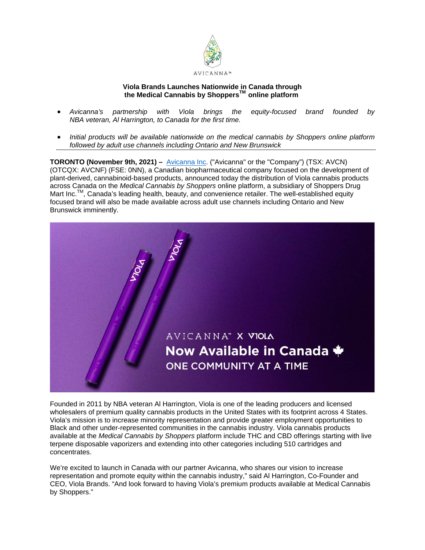

# **Viola Brands Launches Nationwide in Canada through the Medical Cannabis by ShoppersTM online platform**

- *Avicanna's partnership with Viola brings the equity-focused brand founded by NBA veteran, Al Harrington, to Canada for the first time.*
- *Initial products will be available nationwide on the medical cannabis by Shoppers online platform followed by adult use channels including Ontario and New Brunswick*

**TORONTO (November 9th, 2021) –** [Avicanna Inc.](https://www.avicanna.com/) ("Avicanna" or the "Company") (TSX: AVCN) (OTCQX: AVCNF) (FSE: 0NN), a Canadian biopharmaceutical company focused on the development of plant-derived, cannabinoid-based products, announced today the distribution of Viola cannabis products across Canada on the *Medical Cannabis by Shoppers* online platform, a subsidiary of Shoppers Drug Mart Inc.<sup>TM</sup>, Canada's leading health, beauty, and convenience retailer. The well-established equity focused brand will also be made available across adult use channels including Ontario and New Brunswick imminently.



Founded in 2011 by NBA veteran Al Harrington, Viola is one of the leading producers and licensed wholesalers of premium quality cannabis products in the United States with its footprint across 4 States. Viola's mission is to increase minority representation and provide greater employment opportunities to Black and other under-represented communities in the cannabis industry. Viola cannabis products available at the *Medical Cannabis by Shoppers* platform include THC and CBD offerings starting with live terpene disposable vaporizers and extending into other categories including 510 cartridges and concentrates.

We're excited to launch in Canada with our partner Avicanna, who shares our vision to increase representation and promote equity within the cannabis industry," said Al Harrington, Co-Founder and CEO, Viola Brands. "And look forward to having Viola's premium products available at Medical Cannabis by Shoppers."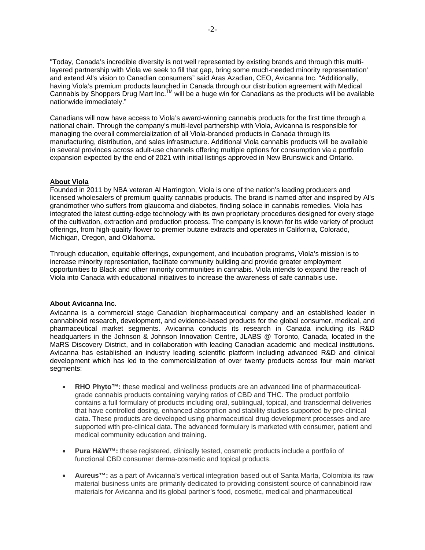"Today, Canada's incredible diversity is not well represented by existing brands and through this multilayered partnership with Viola we seek to fill that gap, bring some much-needed minority representation' and extend Al's vision to Canadian consumers" said Aras Azadian, CEO, Avicanna Inc. "Additionally, having Viola's premium products launched in Canada through our distribution agreement with Medical Cannabis by Shoppers Drug Mart Inc.TM will be a huge win for Canadians as the products will be available nationwide immediately."

Canadians will now have access to Viola's award-winning cannabis products for the first time through a national chain. Through the company's multi-level partnership with Viola, Avicanna is responsible for managing the overall commercialization of all Viola-branded products in Canada through its manufacturing, distribution, and sales infrastructure. Additional Viola cannabis products will be available in several provinces across adult-use channels offering multiple options for consumption via a portfolio expansion expected by the end of 2021 with initial listings approved in New Brunswick and Ontario.

# **About Viola**

Founded in 2011 by NBA veteran Al Harrington, Viola is one of the nation's leading producers and licensed wholesalers of premium quality cannabis products. The brand is named after and inspired by Al's grandmother who suffers from glaucoma and diabetes, finding solace in cannabis remedies. Viola has integrated the latest cutting-edge technology with its own proprietary procedures designed for every stage of the cultivation, extraction and production process. The company is known for its wide variety of product offerings, from high-quality flower to premier butane extracts and operates in California, Colorado, Michigan, Oregon, and Oklahoma.

Through education, equitable offerings, expungement, and incubation programs, Viola's mission is to increase minority representation, facilitate community building and provide greater employment opportunities to Black and other minority communities in cannabis. Viola intends to expand the reach of Viola into Canada with educational initiatives to increase the awareness of safe cannabis use.

## **About Avicanna Inc.**

Avicanna is a commercial stage Canadian biopharmaceutical company and an established leader in cannabinoid research, development, and evidence-based products for the global consumer, medical, and pharmaceutical market segments. Avicanna conducts its research in Canada including its R&D headquarters in the Johnson & Johnson Innovation Centre, JLABS @ Toronto, Canada, located in the MaRS Discovery District, and in collaboration with leading Canadian academic and medical institutions. Avicanna has established an industry leading scientific platform including advanced R&D and clinical development which has led to the commercialization of over twenty products across four main market segments:

- **RHO Phyto™:** these medical and wellness products are an advanced line of pharmaceuticalgrade cannabis products containing varying ratios of CBD and THC. The product portfolio contains a full formulary of products including oral, sublingual, topical, and transdermal deliveries that have controlled dosing, enhanced absorption and stability studies supported by pre-clinical data. These products are developed using pharmaceutical drug development processes and are supported with pre-clinical data. The advanced formulary is marketed with consumer, patient and medical community education and training.
- **Pura H&W™:** these registered, clinically tested, cosmetic products include a portfolio of functional CBD consumer derma-cosmetic and topical products.
- **Aureus™:** as a part of Avicanna's vertical integration based out of Santa Marta, Colombia its raw material business units are primarily dedicated to providing consistent source of cannabinoid raw materials for Avicanna and its global partner's food, cosmetic, medical and pharmaceutical